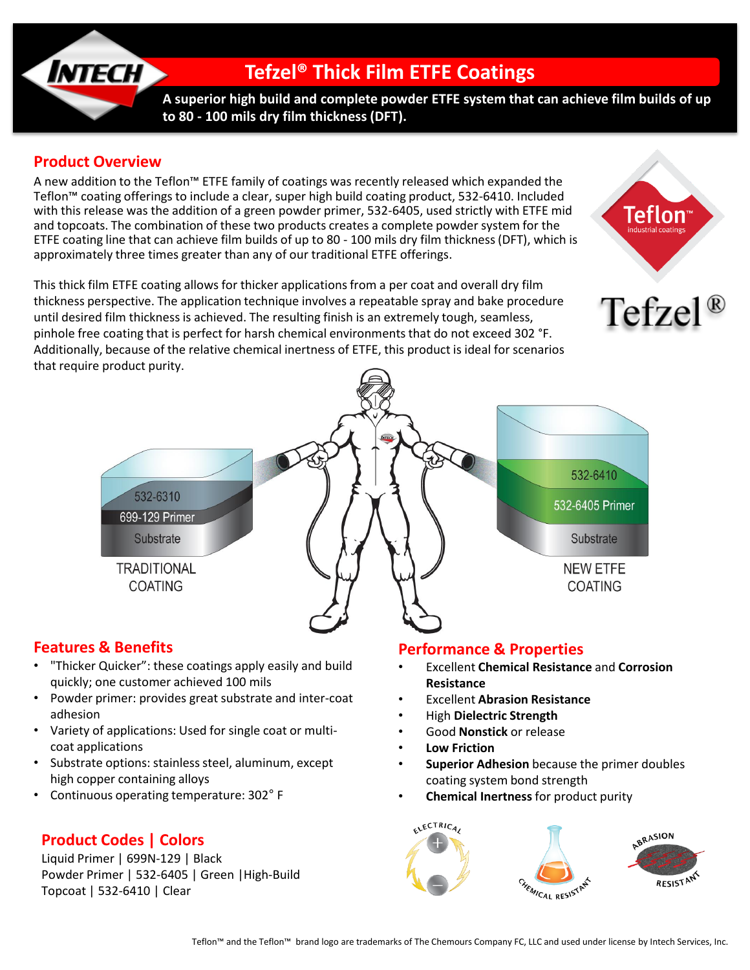

### **Product Overview**

A new addition to the Teflon™ ETFE family of coatings was recently released which expanded the Teflon™ coating offerings to include a clear, super high build coating product, 532-6410. Included with this release was the addition of a green powder primer, 532-6405, used strictly with ETFE mid and topcoats. The combination of these two products creates a complete powder system for the ETFE coating line that can achieve film builds of up to 80 - 100 mils dry film thickness (DFT), which is approximately three times greater than any of our traditional ETFE offerings.

This thick film ETFE coating allows for thicker applications from a per coat and overall dry film thickness perspective. The application technique involves a repeatable spray and bake procedure until desired film thickness is achieved. The resulting finish is an extremely tough, seamless, pinhole free coating that is perfect for harsh chemical environments that do not exceed 302 °F. Additionally, because of the relative chemical inertness of ETFE, this product is ideal for scenarios that require product purity.





#### **Features & Benefits**

- "Thicker Quicker": these coatings apply easily and build quickly; one customer achieved 100 mils
- Powder primer: provides great substrate and inter-coat adhesion
- Variety of applications: Used for single coat or multicoat applications
- Substrate options: stainless steel, aluminum, except high copper containing alloys
- Continuous operating temperature: 302° F

# **Product Codes | Colors**

Liquid Primer | 699N-129 | Black Powder Primer | 532-6405 | Green |High-Build Topcoat | 532-6410 | Clear

#### **Performance & Properties**

- Excellent **Chemical Resistance** and **Corrosion Resistance**
- Excellent **Abrasion Resistance**
- High **Dielectric Strength**
- Good **Nonstick** or release
- **Low Friction**
- **Superior Adhesion** because the primer doubles coating system bond strength
- **Chemical Inertness** for product purity